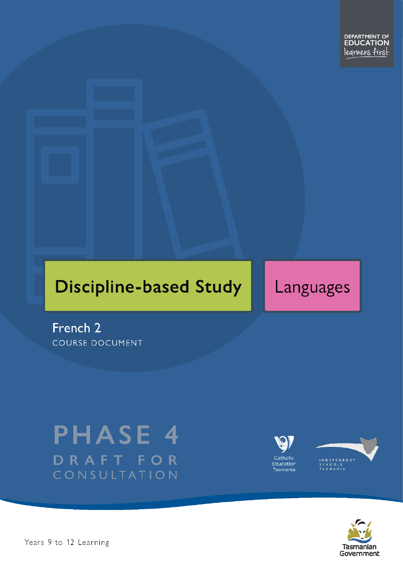# **Discipline-based Study**

# Languages

French 2 **COURSE DOCUMENT** 

# **PHASE 4** DRAFT FOR CONSULTATION





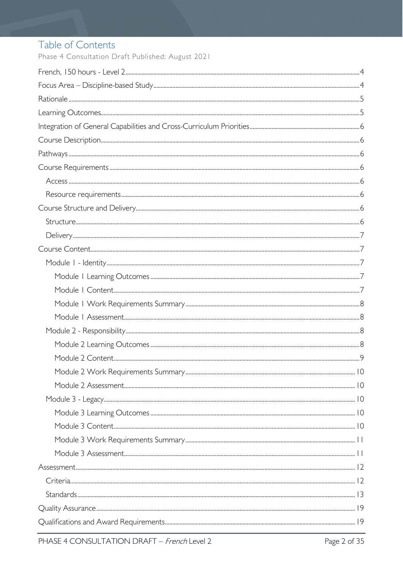# Table of Contents

Phase 4 Consultation Draft Published: August 2021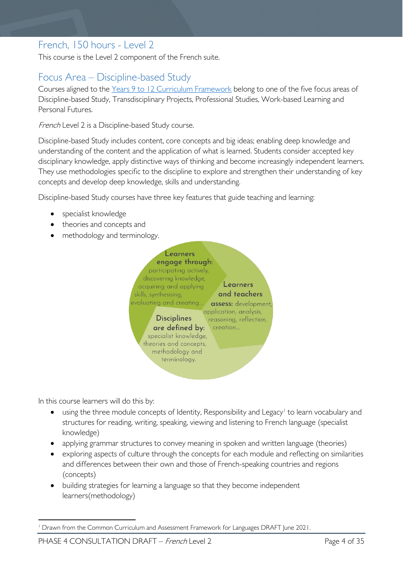# <span id="page-3-0"></span>French, 150 hours - Level 2

This course is the Level 2 component of the French suite.

# <span id="page-3-1"></span>Focus Area – Discipline-based Study

Courses aligned to the [Years 9 to 12 Curriculum Framework](https://publicdocumentcentre.education.tas.gov.au/library/Shared%20Documents/Education%209-12%20Frameworks%20A3%20WEB%20POSTER.pdf) belong to one of the five focus areas of Discipline-based Study, Transdisciplinary Projects, Professional Studies, Work-based Learning and Personal Futures.

French Level 2 is a Discipline-based Study course.

Discipline-based Study includes content, core concepts and big ideas; enabling deep knowledge and understanding of the content and the application of what is learned. Students consider accepted key disciplinary knowledge, apply distinctive ways of thinking and become increasingly independent learners. They use methodologies specific to the discipline to explore and strengthen their understanding of key concepts and develop deep knowledge, skills and understanding.

Discipline-based Study courses have three key features that guide teaching and learning:

- specialist knowledge
- theories and concepts and
- methodology and terminology.



In this course learners will do this by:

- using the three module concepts of Identity, Responsibility and Legacy<sup>[1](#page-3-2)</sup> to learn vocabulary and structures for reading, writing, speaking, viewing and listening to French language (specialist knowledge)
- applying grammar structures to convey meaning in spoken and written language (theories)
- exploring aspects of culture through the concepts for each module and reflecting on similarities and differences between their own and those of French-speaking countries and regions (concepts)
- building strategies for learning a language so that they become independent learners(methodology)

<span id="page-3-2"></span><sup>1</sup> Drawn from the Common Curriculum and Assessment Framework for Languages DRAFT June 2021.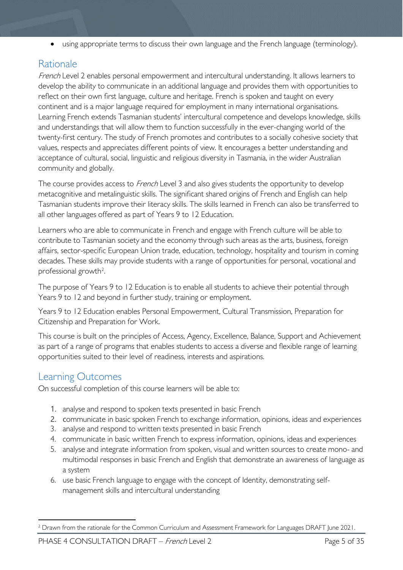• using appropriate terms to discuss their own language and the French language (terminology).

# <span id="page-4-0"></span>Rationale

French Level 2 enables personal empowerment and intercultural understanding. It allows learners to develop the ability to communicate in an additional language and provides them with opportunities to reflect on their own first language, culture and heritage. French is spoken and taught on every continent and is a major language required for employment in many international organisations. Learning French extends Tasmanian students' intercultural competence and develops knowledge, skills and understandings that will allow them to function successfully in the ever-changing world of the twenty-first century. The study of French promotes and contributes to a socially cohesive society that values, respects and appreciates different points of view. It encourages a better understanding and acceptance of cultural, social, linguistic and religious diversity in Tasmania, in the wider Australian community and globally.

The course provides access to *French* Level 3 and also gives students the opportunity to develop metacognitive and metalinguistic skills. The significant shared origins of French and English can help Tasmanian students improve their literacy skills. The skills learned in French can also be transferred to all other languages offered as part of Years 9 to 12 Education.

Learners who are able to communicate in French and engage with French culture will be able to contribute to Tasmanian society and the economy through such areas as the arts, business, foreign affairs, sector-specific European Union trade, education, technology, hospitality and tourism in coming decades. These skills may provide students with a range of opportunities for personal, vocational and professional growth<sup>[2](#page-4-2)</sup>.

The purpose of Years 9 to 12 Education is to enable all students to achieve their potential through Years 9 to 12 and beyond in further study, training or employment.

Years 9 to 12 Education enables Personal Empowerment, Cultural Transmission, Preparation for Citizenship and Preparation for Work.

This course is built on the principles of Access, Agency, Excellence, Balance, Support and Achievement as part of a range of programs that enables students to access a diverse and flexible range of learning opportunities suited to their level of readiness, interests and aspirations.

# <span id="page-4-1"></span>Learning Outcomes

On successful completion of this course learners will be able to:

- 1. analyse and respond to spoken texts presented in basic French
- 2. communicate in basic spoken French to exchange information, opinions, ideas and experiences
- 3. analyse and respond to written texts presented in basic French
- 4. communicate in basic written French to express information, opinions, ideas and experiences
- 5. analyse and integrate information from spoken, visual and written sources to create mono- and multimodal responses in basic French and English that demonstrate an awareness of language as a system
- 6. use basic French language to engage with the concept of Identity, demonstrating selfmanagement skills and intercultural understanding

<span id="page-4-2"></span><sup>&</sup>lt;sup>2</sup> Drawn from the rationale for the Common Curriculum and Assessment Framework for Languages DRAFT June 2021.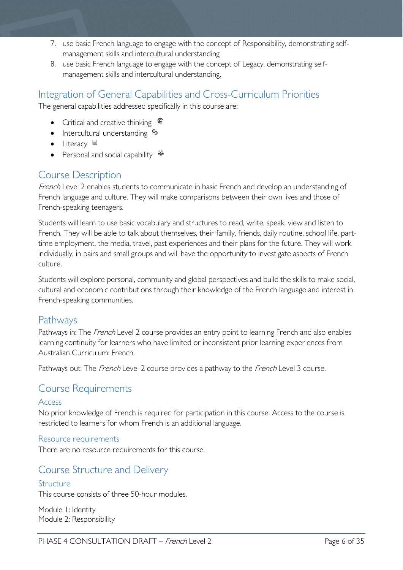- 7. use basic French language to engage with the concept of Responsibility, demonstrating selfmanagement skills and intercultural understanding
- 8. use basic French language to engage with the concept of Legacy, demonstrating selfmanagement skills and intercultural understanding.

## <span id="page-5-0"></span>Integration of General Capabilities and Cross-Curriculum Priorities

The general capabilities addressed specifically in this course are:

- Critical and creative thinking  $\epsilon$
- Intercultural understanding  $\frac{c_3}{ }$
- Literacy  $\blacksquare$
- Personal and social capability

# <span id="page-5-1"></span>Course Description

French Level 2 enables students to communicate in basic French and develop an understanding of French language and culture. They will make comparisons between their own lives and those of French-speaking teenagers.

Students will learn to use basic vocabulary and structures to read, write, speak, view and listen to French. They will be able to talk about themselves, their family, friends, daily routine, school life, parttime employment, the media, travel, past experiences and their plans for the future. They will work individually, in pairs and small groups and will have the opportunity to investigate aspects of French culture.

Students will explore personal, community and global perspectives and build the skills to make social, cultural and economic contributions through their knowledge of the French language and interest in French-speaking communities.

### <span id="page-5-2"></span>Pathways

Pathways in: The *French* Level 2 course provides an entry point to learning French and also enables learning continuity for learners who have limited or inconsistent prior learning experiences from Australian Curriculum: French.

Pathways out: The French Level 2 course provides a pathway to the French Level 3 course.

### <span id="page-5-3"></span>Course Requirements

#### <span id="page-5-4"></span>Access

No prior knowledge of French is required for participation in this course. Access to the course is restricted to learners for whom French is an additional language.

<span id="page-5-5"></span>Resource requirements

There are no resource requirements for this course.

### <span id="page-5-6"></span>Course Structure and Delivery

#### <span id="page-5-7"></span>Structure

This course consists of three 50-hour modules.

Module 1: Identity Module 2: Responsibility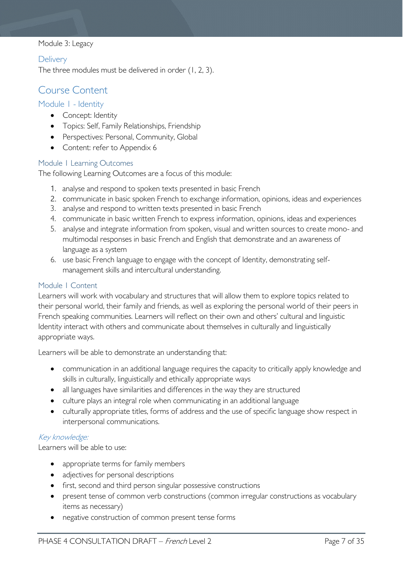#### Module 3: Legacy

#### <span id="page-6-0"></span>**Delivery**

The three modules must be delivered in order (1, 2, 3).

### <span id="page-6-1"></span>Course Content

#### <span id="page-6-2"></span>Module 1 - Identity

- Concept: Identity
- Topics: Self, Family Relationships, Friendship
- Perspectives: Personal, Community, Global
- Content: refer to Appendix 6

#### <span id="page-6-3"></span>Module 1 Learning Outcomes

The following Learning Outcomes are a focus of this module:

- 1. analyse and respond to spoken texts presented in basic French
- 2. communicate in basic spoken French to exchange information, opinions, ideas and experiences
- 3. analyse and respond to written texts presented in basic French
- 4. communicate in basic written French to express information, opinions, ideas and experiences
- 5. analyse and integrate information from spoken, visual and written sources to create mono- and multimodal responses in basic French and English that demonstrate and an awareness of language as a system
- 6. use basic French language to engage with the concept of Identity, demonstrating selfmanagement skills and intercultural understanding.

#### <span id="page-6-4"></span>Module 1 Content

Learners will work with vocabulary and structures that will allow them to explore topics related to their personal world, their family and friends, as well as exploring the personal world of their peers in French speaking communities. Learners will reflect on their own and others' cultural and linguistic Identity interact with others and communicate about themselves in culturally and linguistically appropriate ways.

Learners will be able to demonstrate an understanding that:

- communication in an additional language requires the capacity to critically apply knowledge and skills in culturally, linguistically and ethically appropriate ways
- all languages have similarities and differences in the way they are structured
- culture plays an integral role when communicating in an additional language
- culturally appropriate titles, forms of address and the use of specific language show respect in interpersonal communications.

#### Key knowledge:

Learners will be able to use:

- appropriate terms for family members
- adjectives for personal descriptions
- first, second and third person singular possessive constructions
- present tense of common verb constructions (common irregular constructions as vocabulary items as necessary)
- negative construction of common present tense forms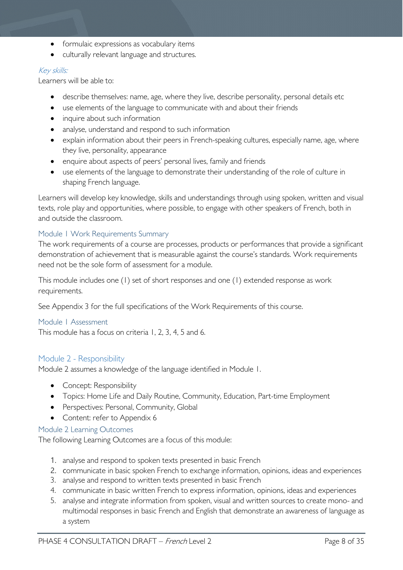- formulaic expressions as vocabulary items
- culturally relevant language and structures.

#### Key skills:

Learners will be able to:

- describe themselves: name, age, where they live, describe personality, personal details etc
- use elements of the language to communicate with and about their friends
- inquire about such information
- analyse, understand and respond to such information
- explain information about their peers in French-speaking cultures, especially name, age, where they live, personality, appearance
- enquire about aspects of peers' personal lives, family and friends
- use elements of the language to demonstrate their understanding of the role of culture in shaping French language.

Learners will develop key knowledge, skills and understandings through using spoken, written and visual texts, role play and opportunities, where possible, to engage with other speakers of French, both in and outside the classroom.

#### <span id="page-7-0"></span>Module 1 Work Requirements Summary

The work requirements of a course are processes, products or performances that provide a significant demonstration of achievement that is measurable against the course's standards. Work requirements need not be the sole form of assessment for a module.

This module includes one (1) set of short responses and one (1) extended response as work requirements.

See Appendix 3 for the full specifications of the Work Requirements of this course.

#### <span id="page-7-1"></span>Module 1 Assessment

This module has a focus on criteria 1, 2, 3, 4, 5 and 6.

#### <span id="page-7-2"></span>Module 2 - Responsibility

Module 2 assumes a knowledge of the language identified in Module 1.

- Concept: Responsibility
- Topics: Home Life and Daily Routine, Community, Education, Part-time Employment
- Perspectives: Personal, Community, Global
- Content: refer to Appendix 6

#### <span id="page-7-3"></span>Module 2 Learning Outcomes

The following Learning Outcomes are a focus of this module:

- 1. analyse and respond to spoken texts presented in basic French
- 2. communicate in basic spoken French to exchange information, opinions, ideas and experiences
- 3. analyse and respond to written texts presented in basic French
- 4. communicate in basic written French to express information, opinions, ideas and experiences
- 5. analyse and integrate information from spoken, visual and written sources to create mono- and multimodal responses in basic French and English that demonstrate an awareness of language as a system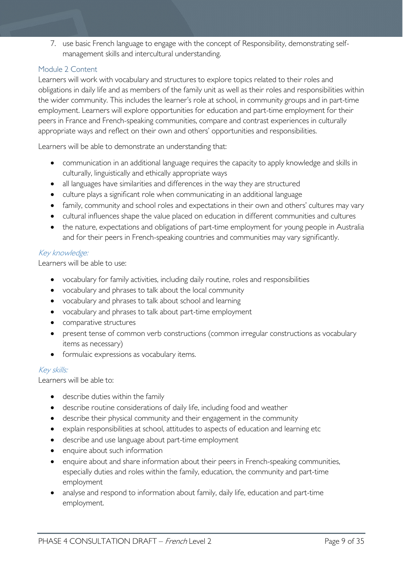7. use basic French language to engage with the concept of Responsibility, demonstrating selfmanagement skills and intercultural understanding.

#### <span id="page-8-0"></span>Module 2 Content

Learners will work with vocabulary and structures to explore topics related to their roles and obligations in daily life and as members of the family unit as well as their roles and responsibilities within the wider community. This includes the learner's role at school, in community groups and in part-time employment. Learners will explore opportunities for education and part-time employment for their peers in France and French-speaking communities, compare and contrast experiences in culturally appropriate ways and reflect on their own and others' opportunities and responsibilities.

Learners will be able to demonstrate an understanding that:

- communication in an additional language requires the capacity to apply knowledge and skills in culturally, linguistically and ethically appropriate ways
- all languages have similarities and differences in the way they are structured
- culture plays a significant role when communicating in an additional language
- family, community and school roles and expectations in their own and others' cultures may vary
- cultural influences shape the value placed on education in different communities and cultures
- the nature, expectations and obligations of part-time employment for young people in Australia and for their peers in French-speaking countries and communities may vary significantly.

#### Key knowledge:

Learners will be able to use:

- vocabulary for family activities, including daily routine, roles and responsibilities
- vocabulary and phrases to talk about the local community
- vocabulary and phrases to talk about school and learning
- vocabulary and phrases to talk about part-time employment
- comparative structures
- present tense of common verb constructions (common irregular constructions as vocabulary items as necessary)
- formulaic expressions as vocabulary items.

#### Key skills:

Learners will be able to:

- describe duties within the family
- describe routine considerations of daily life, including food and weather
- describe their physical community and their engagement in the community
- explain responsibilities at school, attitudes to aspects of education and learning etc
- describe and use language about part-time employment
- enquire about such information
- enquire about and share information about their peers in French-speaking communities, especially duties and roles within the family, education, the community and part-time employment
- analyse and respond to information about family, daily life, education and part-time employment.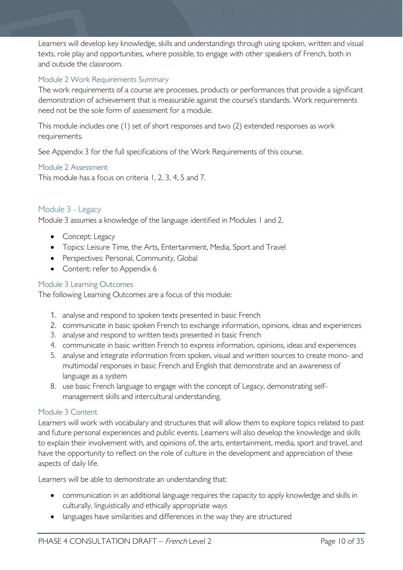Learners will develop key knowledge, skills and understandings through using spoken, written and visual texts, role play and opportunities, where possible, to engage with other speakers of French, both in and outside the classroom.

#### <span id="page-9-0"></span>Module 2 Work Requirements Summary

The work requirements of a course are processes, products or performances that provide a significant demonstration of achievement that is measurable against the course's standards. Work requirements need not be the sole form of assessment for a module.

This module includes one (1) set of short responses and two (2) extended responses as work requirements.

See Appendix 3 for the full specifications of the Work Requirements of this course.

#### <span id="page-9-1"></span>Module 2 Assessment

This module has a focus on criteria 1, 2, 3, 4, 5 and 7.

#### <span id="page-9-2"></span>Module 3 - Legacy

Module 3 assumes a knowledge of the language identified in Modules 1 and 2.

- Concept: Legacy
- Topics: Leisure Time, the Arts, Entertainment, Media, Sport and Travel
- Perspectives: Personal, Community, Global
- Content: refer to Appendix 6

#### <span id="page-9-3"></span>Module 3 Learning Outcomes

The following Learning Outcomes are a focus of this module:

- 1. analyse and respond to spoken texts presented in basic French
- 2. communicate in basic spoken French to exchange information, opinions, ideas and experiences
- 3. analyse and respond to written texts presented in basic French
- 4. communicate in basic written French to express information, opinions, ideas and experiences
- 5. analyse and integrate information from spoken, visual and written sources to create mono- and multimodal responses in basic French and English that demonstrate and an awareness of language as a system
- 8. use basic French language to engage with the concept of Legacy, demonstrating selfmanagement skills and intercultural understanding.

#### <span id="page-9-4"></span>Module 3 Content

Learners will work with vocabulary and structures that will allow them to explore topics related to past and future personal experiences and public events. Learners will also develop the knowledge and skills to explain their involvement with, and opinions of, the arts, entertainment, media, sport and travel, and have the opportunity to reflect on the role of culture in the development and appreciation of these aspects of daily life.

Learners will be able to demonstrate an understanding that:

- communication in an additional language requires the capacity to apply knowledge and skills in culturally, linguistically and ethically appropriate ways
- languages have similarities and differences in the way they are structured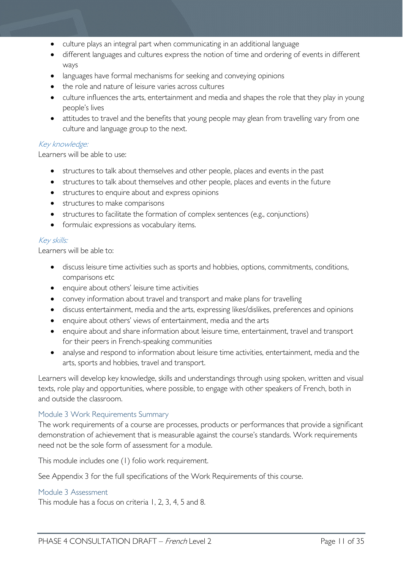- culture plays an integral part when communicating in an additional language
- different languages and cultures express the notion of time and ordering of events in different ways
- languages have formal mechanisms for seeking and conveying opinions
- the role and nature of leisure varies across cultures
- culture influences the arts, entertainment and media and shapes the role that they play in young people's lives
- attitudes to travel and the benefits that young people may glean from travelling vary from one culture and language group to the next.

#### Key knowledge:

Learners will be able to use:

- structures to talk about themselves and other people, places and events in the past
- structures to talk about themselves and other people, places and events in the future
- structures to enquire about and express opinions
- structures to make comparisons
- structures to facilitate the formation of complex sentences (e.g., conjunctions)
- formulaic expressions as vocabulary items.

#### Key skills:

Learners will be able to:

- discuss leisure time activities such as sports and hobbies, options, commitments, conditions, comparisons etc
- enquire about others' leisure time activities
- convey information about travel and transport and make plans for travelling
- discuss entertainment, media and the arts, expressing likes/dislikes, preferences and opinions
- enquire about others' views of entertainment, media and the arts
- enquire about and share information about leisure time, entertainment, travel and transport for their peers in French-speaking communities
- analyse and respond to information about leisure time activities, entertainment, media and the arts, sports and hobbies, travel and transport.

Learners will develop key knowledge, skills and understandings through using spoken, written and visual texts, role play and opportunities, where possible, to engage with other speakers of French, both in and outside the classroom.

#### <span id="page-10-0"></span>Module 3 Work Requirements Summary

The work requirements of a course are processes, products or performances that provide a significant demonstration of achievement that is measurable against the course's standards. Work requirements need not be the sole form of assessment for a module.

This module includes one (1) folio work requirement.

See Appendix 3 for the full specifications of the Work Requirements of this course.

#### <span id="page-10-1"></span>Module 3 Assessment

This module has a focus on criteria 1, 2, 3, 4, 5 and 8.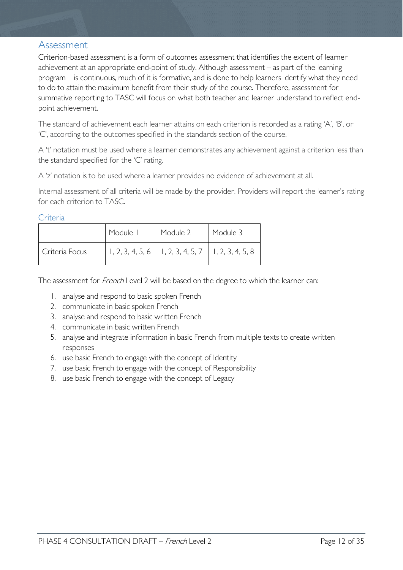### <span id="page-11-0"></span>Assessment

Criterion-based assessment is a form of outcomes assessment that identifies the extent of learner achievement at an appropriate end-point of study. Although assessment – as part of the learning program – is continuous, much of it is formative, and is done to help learners identify what they need to do to attain the maximum benefit from their study of the course. Therefore, assessment for summative reporting to TASC will focus on what both teacher and learner understand to reflect endpoint achievement.

The standard of achievement each learner attains on each criterion is recorded as a rating 'A', 'B', or 'C', according to the outcomes specified in the standards section of the course.

A 't' notation must be used where a learner demonstrates any achievement against a criterion less than the standard specified for the 'C' rating.

A 'z' notation is to be used where a learner provides no evidence of achievement at all.

Internal assessment of all criteria will be made by the provider. Providers will report the learner's rating for each criterion to TASC.

<span id="page-11-1"></span>**Criteria** 

|                | Module I | Module 2                                                 | Module 3 |
|----------------|----------|----------------------------------------------------------|----------|
| Criteria Focus |          | $1, 2, 3, 4, 5, 6$   1, 2, 3, 4, 5, 7   1, 2, 3, 4, 5, 8 |          |

The assessment for French Level 2 will be based on the degree to which the learner can:

- 1. analyse and respond to basic spoken French
- 2. communicate in basic spoken French
- 3. analyse and respond to basic written French
- 4. communicate in basic written French
- 5. analyse and integrate information in basic French from multiple texts to create written responses
- 6. use basic French to engage with the concept of Identity
- 7. use basic French to engage with the concept of Responsibility
- 8. use basic French to engage with the concept of Legacy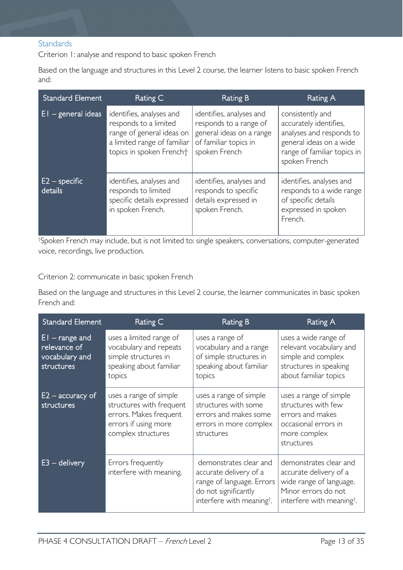#### <span id="page-12-0"></span>**Standards**

Criterion 1: analyse and respond to basic spoken French

Based on the language and structures in this Level 2 course, the learner listens to basic spoken French and:

| <b>Standard Element</b>                                       | Rating C                                                                                                                                  | Rating B                                                                                                                 | Rating A                                                                                                                                          |
|---------------------------------------------------------------|-------------------------------------------------------------------------------------------------------------------------------------------|--------------------------------------------------------------------------------------------------------------------------|---------------------------------------------------------------------------------------------------------------------------------------------------|
| $E1 -$ general ideas                                          | identifies, analyses and<br>responds to a limited<br>range of general ideas on<br>a limited range of familiar<br>topics in spoken Frencht | identifies, analyses and<br>responds to a range of<br>general ideas on a range<br>of familiar topics in<br>spoken French | consistently and<br>accurately identifies,<br>analyses and responds to<br>general ideas on a wide<br>range of familiar topics in<br>spoken French |
| $E2$ – specific<br>$\overline{\mathsf{details}}^{\mathsf{l}}$ | identifies, analyses and<br>responds to limited<br>specific details expressed<br>in spoken French.                                        | identifies, analyses and<br>responds to specific<br>details expressed in<br>spoken French.                               | identifies, analyses and<br>responds to a wide range<br>of specific details<br>expressed in spoken<br>French.                                     |

† Spoken French may include, but is not limited to: single speakers, conversations, computer-generated voice, recordings, live production.

Criterion 2: communicate in basic spoken French

Based on the language and structures in this Level 2 course, the learner communicates in basic spoken French and:

| Standard Element                                                 | Rating C                                                                                                                   | <b>Rating B</b>                                                                                                                                | <b>Rating A</b>                                                                                                                             |
|------------------------------------------------------------------|----------------------------------------------------------------------------------------------------------------------------|------------------------------------------------------------------------------------------------------------------------------------------------|---------------------------------------------------------------------------------------------------------------------------------------------|
| $EI$ – range and<br>relevance of<br>vocabulary and<br>structures | uses a limited range of<br>vocabulary and repeats<br>simple structures in<br>speaking about familiar<br>topics             | uses a range of<br>vocabulary and a range<br>of simple structures in<br>speaking about familiar<br>topics                                      | uses a wide range of<br>relevant vocabulary and<br>simple and complex<br>structures in speaking<br>about familiar topics                    |
| $E2$ – accuracy of<br>structures                                 | uses a range of simple<br>structures with frequent<br>errors. Makes frequent<br>errors if using more<br>complex structures | uses a range of simple<br>structures with some<br>errors and makes some<br>errors in more complex<br>structures                                | uses a range of simple<br>structures with few<br>errors and makes<br>occasional errors in<br>more complex<br>structures                     |
| $E3 -$ delivery                                                  | Errors frequently<br>interfere with meaning.                                                                               | demonstrates clear and<br>accurate delivery of a<br>range of language. Errors<br>do not significantly<br>interfere with meaning <sup>†</sup> . | demonstrates clear and<br>accurate delivery of a<br>wide range of language.<br>Minor errors do not<br>interfere with meaning <sup>†</sup> . |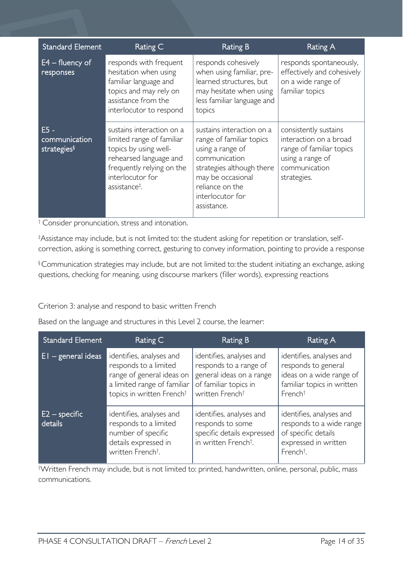| <b>Standard Element</b>                            | Rating C                                                                                                                                                                                                    | <b>Rating B</b>                                                                                                                                                                                    | <b>Rating A</b>                                                                                                                 |
|----------------------------------------------------|-------------------------------------------------------------------------------------------------------------------------------------------------------------------------------------------------------------|----------------------------------------------------------------------------------------------------------------------------------------------------------------------------------------------------|---------------------------------------------------------------------------------------------------------------------------------|
| $E4 -$ fluency of<br>responses                     | responds with frequent<br>hesitation when using<br>familiar language and<br>topics and may rely on<br>assistance from the<br>interlocutor to respond                                                        | responds cohesively<br>when using familiar, pre-<br>learned structures, but<br>may hesitate when using<br>less familiar language and<br>topics                                                     | responds spontaneously,<br>effectively and cohesively<br>on a wide range of<br>familiar topics                                  |
| $E5 -$<br>communication<br>strategies <sup>§</sup> | sustains interaction on a<br>limited range of familiar<br>topics by using well-<br>rehearsed language and<br>frequently relying on the<br>interlocutor for<br>assistance <sup><math>\ddagger</math></sup> . | sustains interaction on a<br>range of familiar topics<br>using a range of<br>communication<br>strategies although there<br>may be occasional<br>reliance on the<br>interlocutor for<br>assistance. | consistently sustains<br>interaction on a broad<br>range of familiar topics<br>using a range of<br>communication<br>strategies. |

<sup>†</sup> Consider pronunciation, stress and intonation.

‡ Assistance may include, but is not limited to: the student asking for repetition or translation, selfcorrection, asking is something correct, gesturing to convey information, pointing to provide a response

§ Communication strategies may include, but are not limited to:the student initiating an exchange, asking questions, checking for meaning, using discourse markers (filler words), expressing reactions

#### Criterion 3: analyse and respond to basic written French

Based on the language and structures in this Level 2 course, the learner:

| Standard Element           | Rating C                                                                                                                                               | Rating B                                                                                                                               | Rating A                                                                                                                         |
|----------------------------|--------------------------------------------------------------------------------------------------------------------------------------------------------|----------------------------------------------------------------------------------------------------------------------------------------|----------------------------------------------------------------------------------------------------------------------------------|
| $E1 - general ideas$       | identifies, analyses and<br>responds to a limited<br>range of general ideas on<br>a limited range of familiar<br>topics in written French <sup>†</sup> | identifies, analyses and<br>responds to a range of<br>general ideas on a range<br>of familiar topics in<br>written French <sup>+</sup> | identifies, analyses and<br>responds to general<br>ideas on a wide range of<br>familiar topics in written<br>French <sup>†</sup> |
| $E2$ – specific<br>details | identifies, analyses and<br>responds to a limited<br>number of specific<br>details expressed in<br>written French <sup>†</sup> .                       | identifies, analyses and<br>responds to some<br>specific details expressed<br>in written French <sup>†</sup> .                         | identifies, analyses and<br>responds to a wide range<br>of specific details<br>expressed in written<br>French <sup>†</sup> .     |

† Written French may include, but is not limited to: printed, handwritten, online, personal, public, mass communications.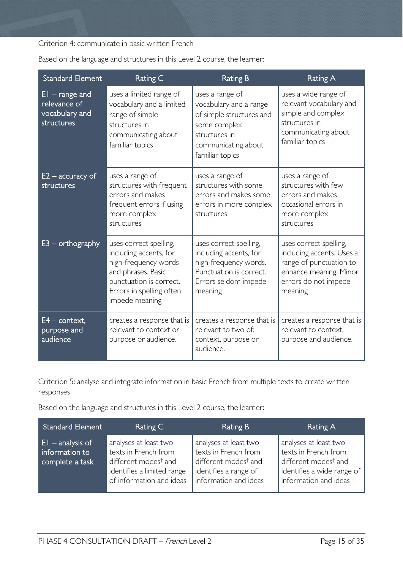Criterion 4: communicate in basic written French

| <b>Standard Element</b>                                          | Rating C                                                                                                                                                                | <b>Rating B</b>                                                                                                                                  | <b>Rating A</b>                                                                                                                             |
|------------------------------------------------------------------|-------------------------------------------------------------------------------------------------------------------------------------------------------------------------|--------------------------------------------------------------------------------------------------------------------------------------------------|---------------------------------------------------------------------------------------------------------------------------------------------|
| $EI$ – range and<br>relevance of<br>vocabulary and<br>structures | uses a limited range of<br>vocabulary and a limited<br>range of simple<br>structures in<br>communicating about<br>familiar topics                                       | uses a range of<br>vocabulary and a range<br>of simple structures and<br>some complex<br>structures in<br>communicating about<br>familiar topics | uses a wide range of<br>relevant vocabulary and<br>simple and complex<br>structures in<br>communicating about<br>familiar topics            |
| $E2$ – accuracy of<br>structures                                 | uses a range of<br>structures with frequent<br>errors and makes<br>frequent errors if using<br>more complex<br>structures                                               | uses a range of<br>structures with some<br>errors and makes some<br>errors in more complex<br>structures                                         | uses a range of<br>structures with few<br>errors and makes<br>occasional errors in<br>more complex<br>structures                            |
| $E3$ – orthography                                               | uses correct spelling,<br>including accents, for<br>high-frequency words<br>and phrases. Basic<br>punctuation is correct.<br>Errors in spelling often<br>impede meaning | uses correct spelling,<br>including accents, for<br>high-frequency words.<br>Punctuation is correct.<br>Errors seldom impede<br>meaning          | uses correct spelling,<br>including accents. Uses a<br>range of punctuation to<br>enhance meaning. Minor<br>errors do not impede<br>meaning |
| $E4$ – context,<br>purpose and<br>audience                       | creates a response that is<br>relevant to context or<br>purpose or audience.                                                                                            | creates a response that is<br>relevant to two of:<br>context, purpose or<br>audience.                                                            | creates a response that is<br>relevant to context,<br>purpose and audience.                                                                 |

Based on the language and structures in this Level 2 course, the learner:

Criterion 5: analyse and integrate information in basic French from multiple texts to create written responses

Based on the language and structures in this Level 2 course, the learner:

| <b>Standard Element</b>                                  | Rating C                                                                                                                                    | Rating B                                                                                                                            | Rating A                                                                                                                                 |
|----------------------------------------------------------|---------------------------------------------------------------------------------------------------------------------------------------------|-------------------------------------------------------------------------------------------------------------------------------------|------------------------------------------------------------------------------------------------------------------------------------------|
| $ E $ - analysis of<br>information to<br>complete a task | analyses at least two<br>texts in French from<br>different modes <sup>†</sup> and<br>identifies a limited range<br>of information and ideas | analyses at least two<br>texts in French from<br>different modes <sup>†</sup> and<br>identifies a range of<br>information and ideas | analyses at least two<br>texts in French from<br>different modes <sup>†</sup> and<br>identifies a wide range of<br>information and ideas |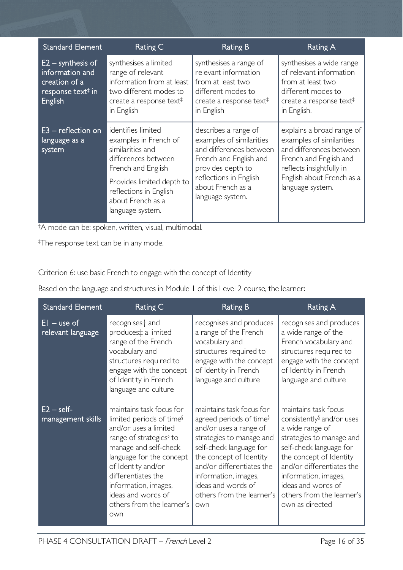| <b>Standard Element</b>                                                                             | Rating C                                                                                                                                                                                                     | <b>Rating B</b>                                                                                                                                                                               | Rating A                                                                                                                                                                                |
|-----------------------------------------------------------------------------------------------------|--------------------------------------------------------------------------------------------------------------------------------------------------------------------------------------------------------------|-----------------------------------------------------------------------------------------------------------------------------------------------------------------------------------------------|-----------------------------------------------------------------------------------------------------------------------------------------------------------------------------------------|
| $E2 -$ synthesis of<br>information and<br>creation of a<br>response text <sup>#</sup> in<br>English | synthesises a limited<br>range of relevant<br>information from at least<br>two different modes to<br>create a response text <sup><math>\ddagger</math></sup><br>in English                                   | synthesises a range of<br>relevant information<br>from at least two<br>different modes to<br>create a response text <sup><math>\ddagger</math></sup><br>in English                            | synthesises a wide range<br>of relevant information<br>from at least two<br>different modes to<br>create a response text <sup><math>\ddagger</math></sup><br>in English.                |
| $E3$ – reflection on<br>language as a<br>system                                                     | identifies limited<br>examples in French of<br>similarities and<br>differences between<br>French and English<br>Provides limited depth to<br>reflections in English<br>about French as a<br>language system. | describes a range of<br>examples of similarities<br>and differences between<br>French and English and<br>provides depth to<br>reflections in English<br>about French as a<br>language system. | explains a broad range of<br>examples of similarities<br>and differences between<br>French and English and<br>reflects insightfully in<br>English about French as a<br>language system. |

† A mode can be: spoken, written, visual, multimodal.

‡ The response text can be in any mode.

Criterion 6: use basic French to engage with the concept of Identity

Based on the language and structures in Module 1 of this Level 2 course, the learner:

| <b>Standard Element</b>            | Rating C                                                                                                                                                                                                                                                                                                            | <b>Rating B</b>                                                                                                                                                                                                                                                                            | <b>Rating A</b>                                                                                                                                                                                                                                                                               |
|------------------------------------|---------------------------------------------------------------------------------------------------------------------------------------------------------------------------------------------------------------------------------------------------------------------------------------------------------------------|--------------------------------------------------------------------------------------------------------------------------------------------------------------------------------------------------------------------------------------------------------------------------------------------|-----------------------------------------------------------------------------------------------------------------------------------------------------------------------------------------------------------------------------------------------------------------------------------------------|
| $EI - use of$<br>relevant language | recognises <sup>+</sup> and<br>produces‡ a limited<br>range of the French<br>vocabulary and<br>structures required to<br>engage with the concept<br>of Identity in French<br>language and culture                                                                                                                   | recognises and produces<br>a range of the French<br>vocabulary and<br>structures required to<br>engage with the concept<br>of Identity in French<br>language and culture                                                                                                                   | recognises and produces<br>a wide range of the<br>French vocabulary and<br>structures required to<br>engage with the concept<br>of Identity in French<br>language and culture                                                                                                                 |
| $E2 - self$<br>management skills   | maintains task focus for<br>limited periods of time <sup>§</sup><br>and/or uses a limited<br>range of strategies <sup>®</sup> to<br>manage and self-check<br>language for the concept<br>of Identity and/or<br>differentiates the<br>information, images,<br>ideas and words of<br>others from the learner's<br>own | maintains task focus for<br>agreed periods of time <sup>§</sup><br>and/or uses a range of<br>strategies to manage and<br>self-check language for<br>the concept of Identity<br>and/or differentiates the<br>information, images,<br>ideas and words of<br>others from the learner's<br>own | maintains task focus<br>consistently <sup>§</sup> and/or uses<br>a wide range of<br>strategies to manage and<br>self-check language for<br>the concept of Identity<br>and/or differentiates the<br>information, images,<br>ideas and words of<br>others from the learner's<br>own as directed |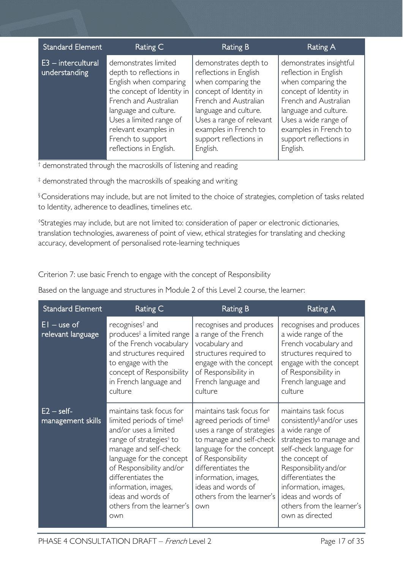| <b>Standard Element</b><br>Rating C<br>Rating B<br>Rating A                                                                                                                                                                                                                                                                                                                                                                                                                                                                                                                                                                                                                                                                                                                                        |  |
|----------------------------------------------------------------------------------------------------------------------------------------------------------------------------------------------------------------------------------------------------------------------------------------------------------------------------------------------------------------------------------------------------------------------------------------------------------------------------------------------------------------------------------------------------------------------------------------------------------------------------------------------------------------------------------------------------------------------------------------------------------------------------------------------------|--|
| $E3$ – intercultural<br>demonstrates limited<br>demonstrates insightful<br>demonstrates depth to<br>reflections in English<br>reflection in English<br>understanding<br>depth to reflections in<br>English when comparing<br>when comparing the<br>when comparing the<br>the concept of Identity in<br>concept of Identity in<br>concept of Identity in<br>French and Australian<br>French and Australian<br>French and Australian<br>language and culture.<br>language and culture.<br>language and culture.<br>Uses a wide range of<br>Uses a limited range of<br>Uses a range of relevant<br>examples in French to<br>examples in French to<br>relevant examples in<br>French to support<br>support reflections in<br>support reflections in<br>reflections in English.<br>English.<br>English. |  |

† demonstrated through the macroskills of listening and reading

‡ demonstrated through the macroskills of speaking and writing

§ Considerations may include, but are not limited to the choice of strategies, completion of tasks related to Identity, adherence to deadlines, timelines etc.

◊ Strategies may include, but are not limited to: consideration of paper or electronic dictionaries, translation technologies, awareness of point of view, ethical strategies for translating and checking accuracy, development of personalised rote-learning techniques

Criterion 7: use basic French to engage with the concept of Responsibility

Based on the language and structures in Module 2 of this Level 2 course, the learner:

| <b>Standard Element</b>            | Rating C                                                                                                                                                                                                                                                                                                                  | <b>Rating B</b>                                                                                                                                                                                                                                                                    | Rating A                                                                                                                                                                                                                                                                                               |
|------------------------------------|---------------------------------------------------------------------------------------------------------------------------------------------------------------------------------------------------------------------------------------------------------------------------------------------------------------------------|------------------------------------------------------------------------------------------------------------------------------------------------------------------------------------------------------------------------------------------------------------------------------------|--------------------------------------------------------------------------------------------------------------------------------------------------------------------------------------------------------------------------------------------------------------------------------------------------------|
| $EI - use of$<br>relevant language | recognises <sup>†</sup> and<br>produces <sup>‡</sup> a limited range<br>of the French vocabulary<br>and structures required<br>to engage with the<br>concept of Responsibility<br>in French language and<br>culture                                                                                                       | recognises and produces<br>a range of the French<br>vocabulary and<br>structures required to<br>engage with the concept<br>of Responsibility in<br>French language and<br>culture                                                                                                  | recognises and produces<br>a wide range of the<br>French vocabulary and<br>structures required to<br>engage with the concept<br>of Responsibility in<br>French language and<br>culture                                                                                                                 |
| $E2 - self$<br>management skills   | maintains task focus for<br>limited periods of time <sup>§</sup><br>and/or uses a limited<br>range of strategies <sup>®</sup> to<br>manage and self-check<br>language for the concept<br>of Responsibility and/or<br>differentiates the<br>information, images,<br>ideas and words of<br>others from the learner's<br>own | maintains task focus for<br>agreed periods of time <sup>§</sup><br>uses a range of strategies<br>to manage and self-check<br>language for the concept<br>of Responsibility<br>differentiates the<br>information, images,<br>ideas and words of<br>others from the learner's<br>own | maintains task focus<br>consistently <sup>§</sup> and/or uses<br>a wide range of<br>strategies to manage and<br>self-check language for<br>the concept of<br>Responsibility and/or<br>differentiates the<br>information, images,<br>ideas and words of<br>others from the learner's<br>own as directed |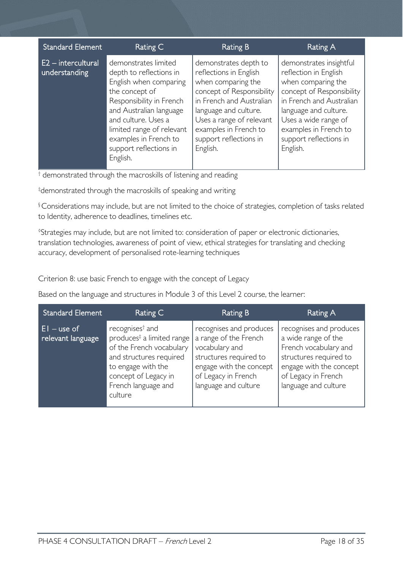| <b>Standard Element</b>               | Rating C                                                                                                                                                                                                                                                              | Rating B                                                                                                                                                                                                                                           | Rating A                                                                                                                                                                                                                                        |
|---------------------------------------|-----------------------------------------------------------------------------------------------------------------------------------------------------------------------------------------------------------------------------------------------------------------------|----------------------------------------------------------------------------------------------------------------------------------------------------------------------------------------------------------------------------------------------------|-------------------------------------------------------------------------------------------------------------------------------------------------------------------------------------------------------------------------------------------------|
| $E2$ – intercultural<br>understanding | demonstrates limited<br>depth to reflections in<br>English when comparing<br>the concept of<br>Responsibility in French<br>and Australian language<br>and culture. Uses a<br>limited range of relevant<br>examples in French to<br>support reflections in<br>English. | demonstrates depth to<br>reflections in English<br>when comparing the<br>concept of Responsibility<br>in French and Australian<br>language and culture.<br>Uses a range of relevant<br>examples in French to<br>support reflections in<br>English. | demonstrates insightful<br>reflection in English<br>when comparing the<br>concept of Responsibility<br>in French and Australian<br>language and culture.<br>Uses a wide range of<br>examples in French to<br>support reflections in<br>English. |

<sup>†</sup> demonstrated through the macroskills of listening and reading

‡ demonstrated through the macroskills of speaking and writing

§ Considerations may include, but are not limited to the choice of strategies, completion of tasks related to Identity, adherence to deadlines, timelines etc.

◊ Strategies may include, but are not limited to: consideration of paper or electronic dictionaries, translation technologies, awareness of point of view, ethical strategies for translating and checking accuracy, development of personalised rote-learning techniques

Criterion 8: use basic French to engage with the concept of Legacy

Based on the language and structures in Module 3 of this Level 2 course, the learner:

| <b>Standard Element</b>             | Rating C                                                                                                                                                                                                    | <b>Rating B</b>                                                                                                                                                        | Rating A                                                                                                                                                                    |
|-------------------------------------|-------------------------------------------------------------------------------------------------------------------------------------------------------------------------------------------------------------|------------------------------------------------------------------------------------------------------------------------------------------------------------------------|-----------------------------------------------------------------------------------------------------------------------------------------------------------------------------|
| $ E $ – use of<br>relevant language | recognises <sup>†</sup> and<br>produces <sup>‡</sup> a limited range<br>of the French vocabulary<br>and structures required<br>to engage with the<br>concept of Legacy in<br>French language and<br>culture | recognises and produces<br>a range of the French<br>vocabulary and<br>structures required to<br>engage with the concept<br>of Legacy in French<br>language and culture | recognises and produces<br>a wide range of the<br>French vocabulary and<br>structures required to<br>engage with the concept<br>of Legacy in French<br>language and culture |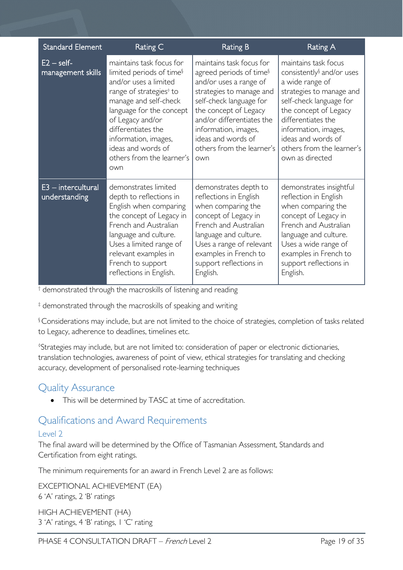| <b>Standard Element</b>             | Rating C                                                                                                                                                                                                                                                                                                          | <b>Rating B</b>                                                                                                                                                                                                                                                                          | Rating A                                                                                                                                                                                                                                                                             |
|-------------------------------------|-------------------------------------------------------------------------------------------------------------------------------------------------------------------------------------------------------------------------------------------------------------------------------------------------------------------|------------------------------------------------------------------------------------------------------------------------------------------------------------------------------------------------------------------------------------------------------------------------------------------|--------------------------------------------------------------------------------------------------------------------------------------------------------------------------------------------------------------------------------------------------------------------------------------|
| $E2 - self$<br>management skills    | maintains task focus for<br>limited periods of time <sup>§</sup><br>and/or uses a limited<br>range of strategies <sup>®</sup> to<br>manage and self-check<br>language for the concept<br>of Legacy and/or<br>differentiates the<br>information, images,<br>ideas and words of<br>others from the learner's<br>own | maintains task focus for<br>agreed periods of time <sup>§</sup><br>and/or uses a range of<br>strategies to manage and<br>self-check language for<br>the concept of Legacy<br>and/or differentiates the<br>information, images,<br>ideas and words of<br>others from the learner's<br>own | maintains task focus<br>consistently <sup>§</sup> and/or uses<br>a wide range of<br>strategies to manage and<br>self-check language for<br>the concept of Legacy<br>differentiates the<br>information, images,<br>ideas and words of<br>others from the learner's<br>own as directed |
| E3 - intercultural<br>understanding | demonstrates limited<br>depth to reflections in<br>English when comparing<br>the concept of Legacy in<br>French and Australian<br>language and culture.<br>Uses a limited range of<br>relevant examples in<br>French to support<br>reflections in English.                                                        | demonstrates depth to<br>reflections in English<br>when comparing the<br>concept of Legacy in<br>French and Australian<br>language and culture.<br>Uses a range of relevant<br>examples in French to<br>support reflections in<br>English.                                               | demonstrates insightful<br>reflection in English<br>when comparing the<br>concept of Legacy in<br>French and Australian<br>language and culture.<br>Uses a wide range of<br>examples in French to<br>support reflections in<br>English.                                              |

<sup>†</sup> demonstrated through the macroskills of listening and reading

‡ demonstrated through the macroskills of speaking and writing

§ Considerations may include, but are not limited to the choice of strategies, completion of tasks related to Legacy, adherence to deadlines, timelines etc.

◊ Strategies may include, but are not limited to: consideration of paper or electronic dictionaries, translation technologies, awareness of point of view, ethical strategies for translating and checking accuracy, development of personalised rote-learning techniques

### <span id="page-18-0"></span>Quality Assurance

• This will be determined by TASC at time of accreditation.

### <span id="page-18-1"></span>Qualifications and Award Requirements

#### <span id="page-18-2"></span>Level 2

The final award will be determined by the Office of Tasmanian Assessment, Standards and Certification from eight ratings.

The minimum requirements for an award in French Level 2 are as follows:

EXCEPTIONAL ACHIEVEMENT (EA) 6 'A' ratings, 2 'B' ratings

HIGH ACHIEVEMENT (HA) 3 'A' ratings, 4 'B' ratings, 1 'C' rating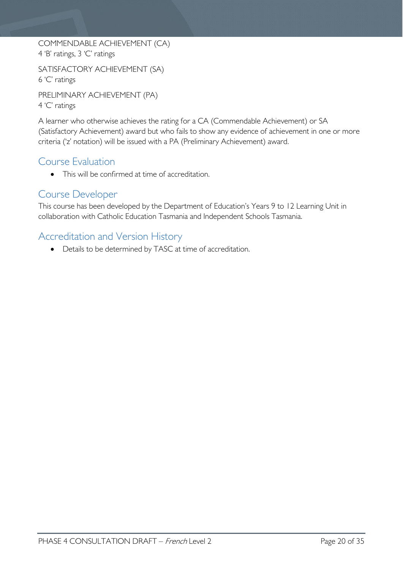COMMENDABLE ACHIEVEMENT (CA) 4 'B' ratings, 3 'C' ratings

SATISFACTORY ACHIEVEMENT (SA) 6 'C' ratings

PRELIMINARY ACHIEVEMENT (PA) 4 'C' ratings

A learner who otherwise achieves the rating for a CA (Commendable Achievement) or SA (Satisfactory Achievement) award but who fails to show any evidence of achievement in one or more criteria ('z' notation) will be issued with a PA (Preliminary Achievement) award.

# <span id="page-19-0"></span>Course Evaluation

• This will be confirmed at time of accreditation.

# <span id="page-19-1"></span>Course Developer

This course has been developed by the Department of Education's Years 9 to 12 Learning Unit in collaboration with Catholic Education Tasmania and Independent Schools Tasmania.

## <span id="page-19-2"></span>Accreditation and Version History

• Details to be determined by TASC at time of accreditation.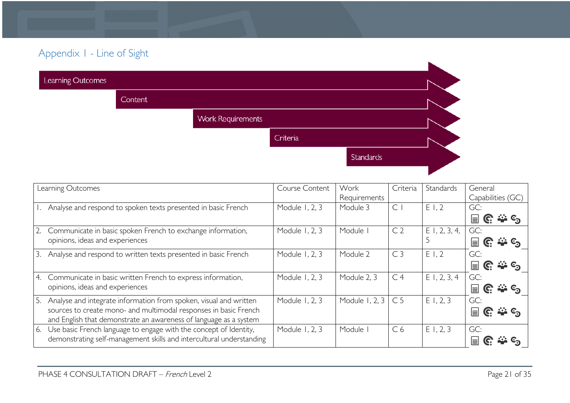# Appendix 1 - Line of Sight

| Learning Outcomes |                |                          |          |           |  |
|-------------------|----------------|--------------------------|----------|-----------|--|
|                   | <b>Content</b> |                          |          |           |  |
|                   |                | <b>Work Requirements</b> |          |           |  |
|                   |                |                          | Criteria |           |  |
|                   |                |                          |          | Standards |  |
|                   |                |                          |          |           |  |

<span id="page-20-0"></span>

| Learning Outcomes                                                       | Course Content | Work           | Criteria       | Standards       | General                                  |
|-------------------------------------------------------------------------|----------------|----------------|----------------|-----------------|------------------------------------------|
|                                                                         |                | Requirements   |                |                 | Capabilities (GC)                        |
| Analyse and respond to spoken texts presented in basic French           | Module 1, 2, 3 | Module 3       | $\mathsf{C}$   | E1,2            | GC:                                      |
|                                                                         |                |                |                |                 | $\rightarrow$ $\infty$<br>$\equiv$<br>G. |
| Communicate in basic spoken French to exchange information,             | Module 1, 2, 3 | Module         | C <sub>2</sub> | $E$ I, 2, 3, 4, | GC:                                      |
| opinions, ideas and experiences                                         |                |                |                |                 | <b>ALL</b> C <sub>2</sub><br>⊫           |
| Analyse and respond to written texts presented in basic French<br>3.    | Module 1, 2, 3 | Module 2       | C <sub>3</sub> | E1,2            | GC:                                      |
|                                                                         |                |                |                |                 | $\equiv$<br>C.<br><u>మి ©న</u>           |
| Communicate in basic written French to express information,<br>4.       | Module 1, 2, 3 | Module 2, 3    | C <sub>4</sub> | E1, 2, 3, 4     | GC:                                      |
| opinions, ideas and experiences                                         |                |                |                |                 | ್ಲಿ≟ © <sub>ನಿ</sub><br>$\equiv$         |
| Analyse and integrate information from spoken, visual and written<br>5. | Module 1, 2, 3 | Module 1, 2, 3 | C <sub>5</sub> | E1, 2, 3        | GC:                                      |
| sources to create mono- and multimodal responses in basic French        |                |                |                |                 | ⊫                                        |
| and English that demonstrate an awareness of language as a system       |                |                |                |                 |                                          |
| 6. Use basic French language to engage with the concept of Identity,    | Module 1, 2, 3 | Module         | C <sub>6</sub> | E1, 2, 3        | GC:                                      |
| demonstrating self-management skills and intercultural understanding    |                |                |                |                 | ⊫                                        |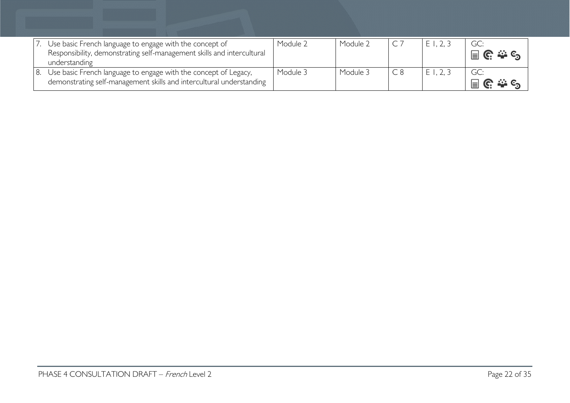| Use basic French language to engage with the concept of<br>Responsibility, demonstrating self-management skills and intercultural<br>understanding | Module 2 | Module 2 | E1, 2, 3 | GC:                                             |
|----------------------------------------------------------------------------------------------------------------------------------------------------|----------|----------|----------|-------------------------------------------------|
| Use basic French language to engage with the concept of Legacy,<br>demonstrating self-management skills and intercultural understanding            | Module 3 | Module 3 | E1, 2, 3 | GC:<br>$\Box$ $\mathbb{C}$ $\cong$ $\mathbb{C}$ |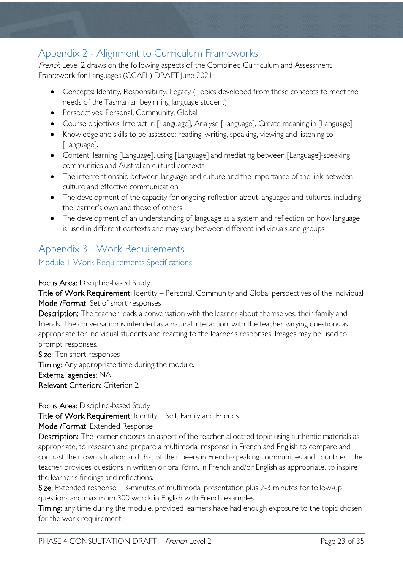# <span id="page-22-0"></span>Appendix 2 - Alignment to Curriculum Frameworks

French Level 2 draws on the following aspects of the Combined Curriculum and Assessment Framework for Languages (CCAFL) DRAFT June 2021:

- Concepts: Identity, Responsibility, Legacy (Topics developed from these concepts to meet the needs of the Tasmanian beginning language student)
- Perspectives: Personal, Community, Global
- Course objectives: Interact in [Language], Analyse [Language], Create meaning in [Language]
- Knowledge and skills to be assessed: reading, writing, speaking, viewing and listening to [Language].
- Content: learning [Language], using [Language] and mediating between [Language]-speaking communities and Australian cultural contexts
- The interrelationship between language and culture and the importance of the link between culture and effective communication
- The development of the capacity for ongoing reflection about languages and cultures, including the learner's own and those of others
- The development of an understanding of language as a system and reflection on how language is used in different contexts and may vary between different individuals and groups

# <span id="page-22-1"></span>Appendix 3 - Work Requirements

<span id="page-22-2"></span>Module 1 Work Requirements Specifications

Focus Area: Discipline-based Study

Title of Work Requirement: Identity – Personal, Community and Global perspectives of the Individual Mode /Format: Set of short responses

Description: The teacher leads a conversation with the learner about themselves, their family and friends. The conversation is intended as a natural interaction, with the teacher varying questions as appropriate for individual students and reacting to the learner's responses. Images may be used to prompt responses.

Size: Ten short responses Timing: Any appropriate time during the module. External agencies: NA Relevant Criterion: Criterion 2

#### Focus Area: Discipline-based Study

Title of Work Requirement: Identity – Self, Family and Friends

Mode /Format: Extended Response

Description: The learner chooses an aspect of the teacher-allocated topic using authentic materials as appropriate, to research and prepare a multimodal response in French and English to compare and contrast their own situation and that of their peers in French-speaking communities and countries. The teacher provides questions in written or oral form, in French and/or English as appropriate, to inspire the learner's findings and reflections.

Size: Extended response – 3-minutes of multimodal presentation plus 2-3 minutes for follow-up questions and maximum 300 words in English with French examples.

Timing: any time during the module, provided learners have had enough exposure to the topic chosen for the work requirement.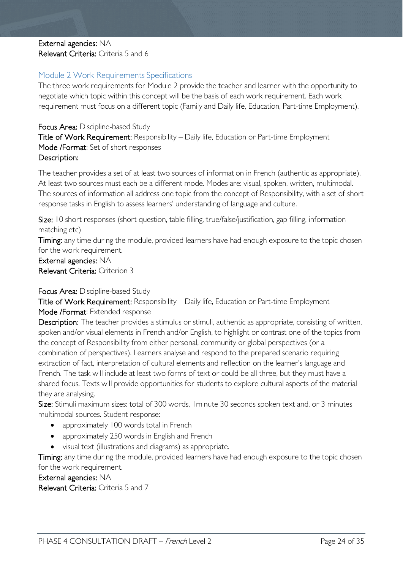#### External agencies: NA Relevant Criteria: Criteria 5 and 6

#### <span id="page-23-0"></span>Module 2 Work Requirements Specifications

The three work requirements for Module 2 provide the teacher and learner with the opportunity to negotiate which topic within this concept will be the basis of each work requirement. Each work requirement must focus on a different topic (Family and Daily life, Education, Part-time Employment).

#### Focus Area: Discipline-based Study

Title of Work Requirement: Responsibility – Daily life, Education or Part-time Employment Mode /Format: Set of short responses Description:

The teacher provides a set of at least two sources of information in French (authentic as appropriate). At least two sources must each be a different mode. Modes are: visual, spoken, written, multimodal. The sources of information all address one topic from the concept of Responsibility, with a set of short response tasks in English to assess learners' understanding of language and culture.

Size: 10 short responses (short question, table filling, true/false/justification, gap filling, information matching etc)

Timing: any time during the module, provided learners have had enough exposure to the topic chosen for the work requirement.

External agencies: NA Relevant Criteria: Criterion 3

#### Focus Area: Discipline-based Study

Title of Work Requirement: Responsibility – Daily life, Education or Part-time Employment Mode /Format: Extended response

Description: The teacher provides a stimulus or stimuli, authentic as appropriate, consisting of written, spoken and/or visual elements in French and/or English, to highlight or contrast one of the topics from the concept of Responsibility from either personal, community or global perspectives (or a combination of perspectives). Learners analyse and respond to the prepared scenario requiring extraction of fact, interpretation of cultural elements and reflection on the learner's language and French. The task will include at least two forms of text or could be all three, but they must have a shared focus. Texts will provide opportunities for students to explore cultural aspects of the material they are analysing.

Size: Stimuli maximum sizes: total of 300 words, 1minute 30 seconds spoken text and, or 3 minutes multimodal sources. Student response:

- approximately 100 words total in French
- approximately 250 words in English and French
- visual text (illustrations and diagrams) as appropriate.

Timing: any time during the module, provided learners have had enough exposure to the topic chosen for the work requirement.

External agencies: NA

Relevant Criteria: Criteria 5 and 7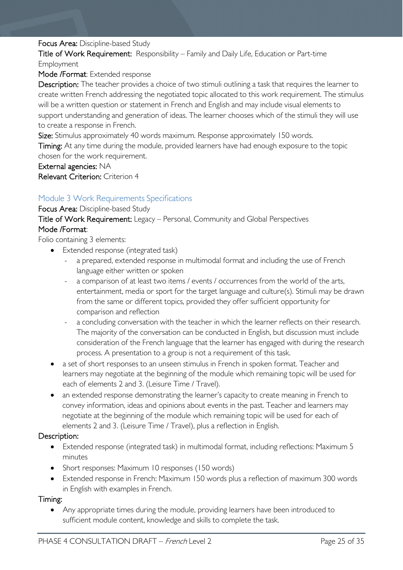#### Focus Area: Discipline-based Study

Title of Work Requirement: Responsibility – Family and Daily Life, Education or Part-time Employment

Mode /Format: Extended response

Description: The teacher provides a choice of two stimuli outlining a task that requires the learner to create written French addressing the negotiated topic allocated to this work requirement. The stimulus will be a written question or statement in French and English and may include visual elements to support understanding and generation of ideas. The learner chooses which of the stimuli they will use to create a response in French.

Size: Stimulus approximately 40 words maximum. Response approximately 150 words.

Timing: At any time during the module, provided learners have had enough exposure to the topic chosen for the work requirement.

External agencies: NA Relevant Criterion: Criterion 4

#### <span id="page-24-0"></span>Module 3 Work Requirements Specifications

Focus Area: Discipline-based Study

Title of Work Requirement: Legacy – Personal, Community and Global Perspectives Mode /Format:

Folio containing 3 elements:

- Extended response (integrated task)
	- a prepared, extended response in multimodal format and including the use of French language either written or spoken
	- a comparison of at least two items / events / occurrences from the world of the arts, entertainment, media or sport for the target language and culture(s). Stimuli may be drawn from the same or different topics, provided they offer sufficient opportunity for comparison and reflection
	- a concluding conversation with the teacher in which the learner reflects on their research. The majority of the conversation can be conducted in English, but discussion must include consideration of the French language that the learner has engaged with during the research process. A presentation to a group is not a requirement of this task.
- a set of short responses to an unseen stimulus in French in spoken format. Teacher and learners may negotiate at the beginning of the module which remaining topic will be used for each of elements 2 and 3. (Leisure Time / Travel).
- an extended response demonstrating the learner's capacity to create meaning in French to convey information, ideas and opinions about events in the past. Teacher and learners may negotiate at the beginning of the module which remaining topic will be used for each of elements 2 and 3. (Leisure Time / Travel), plus a reflection in English.

#### Description:

- Extended response (integrated task) in multimodal format, including reflections: Maximum 5 minutes
- Short responses: Maximum 10 responses (150 words)
- Extended response in French: Maximum 150 words plus a reflection of maximum 300 words in English with examples in French.

#### Timing:

• Any appropriate times during the module, providing learners have been introduced to sufficient module content, knowledge and skills to complete the task.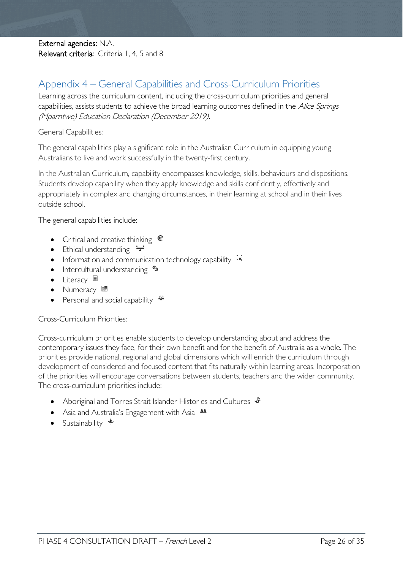External agencies: N.A. Relevant criteria: Criteria 1, 4, 5 and 8

# <span id="page-25-0"></span>Appendix 4 – General Capabilities and Cross-Curriculum Priorities

Learning across the curriculum content, including the cross-curriculum priorities and general capabilities, assists students to achieve the broad learning outcomes defined in the Alice Springs (Mparntwe) Education Declaration (December 2019).

General Capabilities:

The general capabilities play a significant role in the Australian Curriculum in equipping young Australians to live and work successfully in the twenty-first century.

In the Australian Curriculum, capability encompasses knowledge, skills, behaviours and dispositions. Students develop capability when they apply knowledge and skills confidently, effectively and appropriately in complex and changing circumstances, in their learning at school and in their lives outside school.

The general capabilities include:

- Critical and creative thinking G
- Ethical understanding  $\div$
- Information and communication technology capability  $\cdot\overline{\cdot}$
- Intercultural understanding  $\epsilon_3$
- Literacy
- Numeracy  $\frac{1}{2}$
- Personal and social capability  $\ddot{\ddot{\bullet}}$

Cross-Curriculum Priorities:

Cross-curriculum priorities enable students to develop understanding about and address the contemporary issues they face, for their own benefit and for the benefit of Australia as a whole. The priorities provide national, regional and global dimensions which will enrich the curriculum through development of considered and focused content that fits naturally within learning areas. Incorporation of the priorities will encourage conversations between students, teachers and the wider community. The cross-curriculum priorities include:

- Aboriginal and Torres Strait Islander Histories and Cultures  $\mathscr W$
- Asia and Australia's Engagement with Asia **AA**
- Sustainability  $\triangleleft$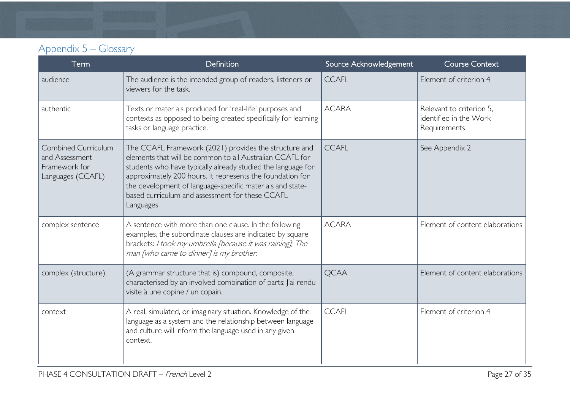# Appendix 5 – Glossary

<span id="page-26-0"></span>

| Term                                                                        | Definition                                                                                                                                                                                                                                                                                                                                                                  | Source Acknowledgement | <b>Course Context</b>                                              |
|-----------------------------------------------------------------------------|-----------------------------------------------------------------------------------------------------------------------------------------------------------------------------------------------------------------------------------------------------------------------------------------------------------------------------------------------------------------------------|------------------------|--------------------------------------------------------------------|
| audience                                                                    | The audience is the intended group of readers, listeners or<br>viewers for the task.                                                                                                                                                                                                                                                                                        | <b>CCAFL</b>           | Element of criterion 4                                             |
| authentic                                                                   | Texts or materials produced for 'real-life' purposes and<br>contexts as opposed to being created specifically for learning<br>tasks or language practice.                                                                                                                                                                                                                   | <b>ACARA</b>           | Relevant to criterion 5.<br>identified in the Work<br>Requirements |
| Combined Curriculum<br>and Assessment<br>Framework for<br>Languages (CCAFL) | The CCAFL Framework (2021) provides the structure and<br>elements that will be common to all Australian CCAFL for<br>students who have typically already studied the language for<br>approximately 200 hours. It represents the foundation for<br>the development of language-specific materials and state-<br>based curriculum and assessment for these CCAFL<br>Languages | <b>CCAFL</b>           | See Appendix 2                                                     |
| complex sentence                                                            | A sentence with more than one clause. In the following<br>examples, the subordinate clauses are indicated by square<br>brackets: I took my umbrella [because it was raining]; The<br>man [who came to dinner] is my brother.                                                                                                                                                | <b>ACARA</b>           | Element of content elaborations                                    |
| complex (structure)                                                         | (A grammar structure that is) compound, composite,<br>characterised by an involved combination of parts: J'ai rendu<br>visite à une copine / un copain.                                                                                                                                                                                                                     | <b>OCAA</b>            | Element of content elaborations                                    |
| context                                                                     | A real, simulated, or imaginary situation. Knowledge of the<br>language as a system and the relationship between language<br>and culture will inform the language used in any given<br>context.                                                                                                                                                                             | <b>CCAFL</b>           | Element of criterion 4                                             |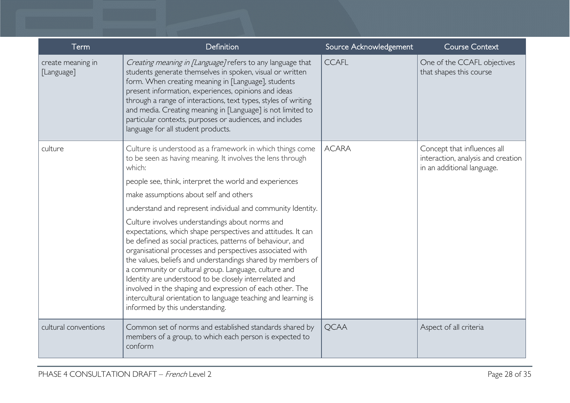| Term                            | <b>Definition</b>                                                                                                                                                                                                                                                                                                                                                                                                                                                                                                                                                                                                                                                                                                                                                                                                                                                                                     | Source Acknowledgement | <b>Course Context</b>                                                                           |
|---------------------------------|-------------------------------------------------------------------------------------------------------------------------------------------------------------------------------------------------------------------------------------------------------------------------------------------------------------------------------------------------------------------------------------------------------------------------------------------------------------------------------------------------------------------------------------------------------------------------------------------------------------------------------------------------------------------------------------------------------------------------------------------------------------------------------------------------------------------------------------------------------------------------------------------------------|------------------------|-------------------------------------------------------------------------------------------------|
| create meaning in<br>[Language] | Creating meaning in [Language] refers to any language that<br>students generate themselves in spoken, visual or written<br>form. When creating meaning in [Language], students<br>present information, experiences, opinions and ideas<br>through a range of interactions, text types, styles of writing<br>and media. Creating meaning in [Language] is not limited to<br>particular contexts, purposes or audiences, and includes<br>language for all student products.                                                                                                                                                                                                                                                                                                                                                                                                                             | <b>CCAFL</b>           | One of the CCAFL objectives<br>that shapes this course                                          |
| culture                         | Culture is understood as a framework in which things come<br>to be seen as having meaning. It involves the lens through<br>which:<br>people see, think, interpret the world and experiences<br>make assumptions about self and others<br>understand and represent individual and community Identity.<br>Culture involves understandings about norms and<br>expectations, which shape perspectives and attitudes. It can<br>be defined as social practices, patterns of behaviour, and<br>organisational processes and perspectives associated with<br>the values, beliefs and understandings shared by members of<br>a community or cultural group. Language, culture and<br>Identity are understood to be closely interrelated and<br>involved in the shaping and expression of each other. The<br>intercultural orientation to language teaching and learning is<br>informed by this understanding. | <b>ACARA</b>           | Concept that influences all<br>interaction, analysis and creation<br>in an additional language. |
| cultural conventions            | Common set of norms and established standards shared by<br>members of a group, to which each person is expected to<br>conform                                                                                                                                                                                                                                                                                                                                                                                                                                                                                                                                                                                                                                                                                                                                                                         | <b>QCAA</b>            | Aspect of all criteria                                                                          |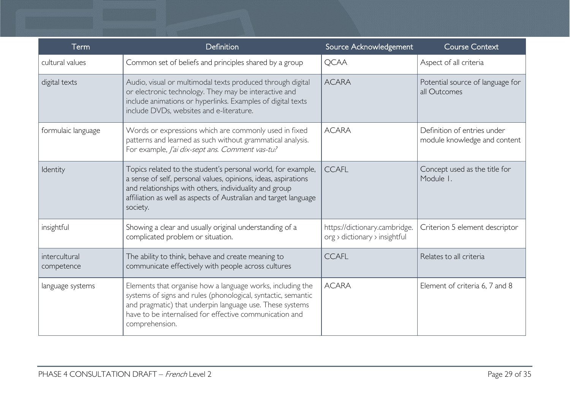| Term                        | Definition                                                                                                                                                                                                                                                               | Source Acknowledgement                                         | <b>Course Context</b>                                       |
|-----------------------------|--------------------------------------------------------------------------------------------------------------------------------------------------------------------------------------------------------------------------------------------------------------------------|----------------------------------------------------------------|-------------------------------------------------------------|
| cultural values             | Common set of beliefs and principles shared by a group                                                                                                                                                                                                                   | <b>QCAA</b>                                                    | Aspect of all criteria                                      |
| digital texts               | Audio, visual or multimodal texts produced through digital<br>or electronic technology. They may be interactive and<br>include animations or hyperlinks. Examples of digital texts<br>include DVDs, websites and e-literature.                                           | <b>ACARA</b>                                                   | Potential source of language for<br>all Outcomes            |
| formulaic language          | Words or expressions which are commonly used in fixed<br>patterns and learned as such without grammatical analysis.<br>For example, J'ai dix-sept ans. Comment vas-tu?                                                                                                   | <b>ACARA</b>                                                   | Definition of entries under<br>module knowledge and content |
| Identity                    | Topics related to the student's personal world, for example,<br>a sense of self, personal values, opinions, ideas, aspirations<br>and relationships with others, individuality and group<br>affiliation as well as aspects of Australian and target language<br>society. | <b>CCAFL</b>                                                   | Concept used as the title for<br>Module I.                  |
| insightful                  | Showing a clear and usually original understanding of a<br>complicated problem or situation.                                                                                                                                                                             | https://dictionary.cambridge.<br>org > dictionary > insightful | Criterion 5 element descriptor                              |
| intercultural<br>competence | The ability to think, behave and create meaning to<br>communicate effectively with people across cultures                                                                                                                                                                | <b>CCAFL</b>                                                   | Relates to all criteria                                     |
| language systems            | Elements that organise how a language works, including the<br>systems of signs and rules (phonological, syntactic, semantic<br>and pragmatic) that underpin language use. These systems<br>have to be internalised for effective communication and<br>comprehension.     | <b>ACARA</b>                                                   | Element of criteria 6, 7 and 8                              |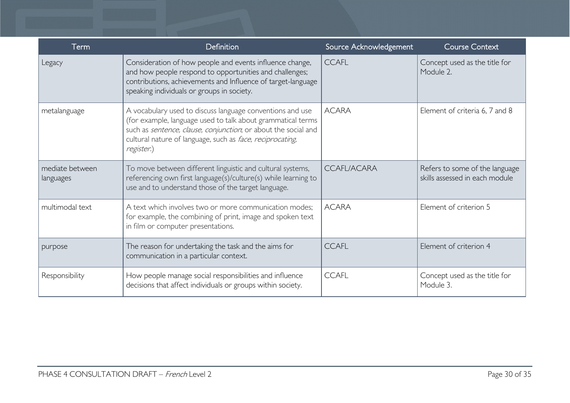| Term                         | Definition                                                                                                                                                                                                                                                            | Source Acknowledgement | <b>Course Context</b>                                            |
|------------------------------|-----------------------------------------------------------------------------------------------------------------------------------------------------------------------------------------------------------------------------------------------------------------------|------------------------|------------------------------------------------------------------|
| Legacy                       | Consideration of how people and events influence change,<br>and how people respond to opportunities and challenges;<br>contributions, achievements and Influence of target-language<br>speaking individuals or groups in society.                                     | <b>CCAFL</b>           | Concept used as the title for<br>Module 2.                       |
| metalanguage                 | A vocabulary used to discuss language conventions and use<br>(for example, language used to talk about grammatical terms<br>such as sentence, clause, conjunction, or about the social and<br>cultural nature of language, such as face, reciprocating,<br>register.) | <b>ACARA</b>           | Element of criteria 6, 7 and 8                                   |
| mediate between<br>languages | To move between different linguistic and cultural systems,<br>referencing own first language(s)/culture(s) while learning to<br>use and to understand those of the target language.                                                                                   | <b>CCAFL/ACARA</b>     | Refers to some of the language<br>skills assessed in each module |
| multimodal text              | A text which involves two or more communication modes;<br>for example, the combining of print, image and spoken text<br>in film or computer presentations.                                                                                                            | <b>ACARA</b>           | Element of criterion 5                                           |
| purpose                      | The reason for undertaking the task and the aims for<br>communication in a particular context.                                                                                                                                                                        | <b>CCAFL</b>           | Element of criterion 4                                           |
| Responsibility               | How people manage social responsibilities and influence<br>decisions that affect individuals or groups within society.                                                                                                                                                | <b>CCAFL</b>           | Concept used as the title for<br>Module 3.                       |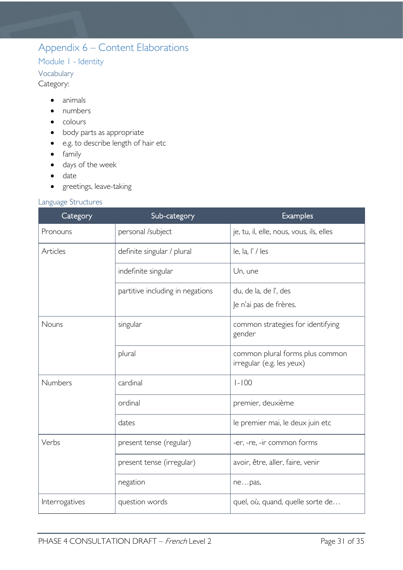# <span id="page-30-0"></span>Appendix 6 – Content Elaborations

### <span id="page-30-1"></span>Module 1 - Identity

<span id="page-30-2"></span>Vocabulary

Category:

- animals
- numbers
- colours
- body parts as appropriate
- e.g. to describe length of hair etc
- family
- days of the week
- date
- greetings, leave-taking

#### <span id="page-30-3"></span>Language Structures

| Category       | Sub-category                     | <b>Examples</b>                                              |
|----------------|----------------------------------|--------------------------------------------------------------|
| Pronouns       | personal /subject                | je, tu, il, elle, nous, vous, ils, elles                     |
| Articles       | definite singular / plural       | le, la, l' / les                                             |
|                | indefinite singular              | Un, une                                                      |
|                | partitive including in negations | du, de la, de l', des<br>Je n'ai pas de frères.              |
| Nouns          | singular                         | common strategies for identifying<br>gender                  |
|                | plural                           | common plural forms plus common<br>irregular (e.g. les yeux) |
| <b>Numbers</b> | cardinal                         | $1 - 100$                                                    |
|                | ordinal                          | premier, deuxième                                            |
|                | dates                            | le premier mai, le deux juin etc                             |
| Verbs          | present tense (regular)          | -er, -re, -ir common forms                                   |
|                | present tense (irregular)        | avoir, être, aller, faire, venir                             |
|                | negation                         | nepas,                                                       |
| Interrogatives | question words                   | quel, où, quand, quelle sorte de                             |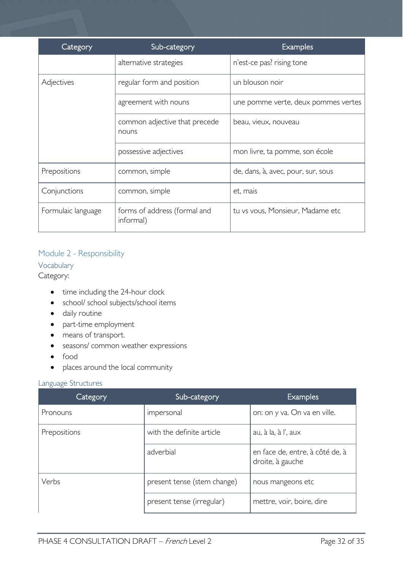| Category           | Sub-category                              | <b>Examples</b>                     |
|--------------------|-------------------------------------------|-------------------------------------|
|                    | alternative strategies                    | n'est-ce pas? rising tone           |
| Adjectives         | regular form and position                 | un blouson noir                     |
|                    | agreement with nouns                      | une pomme verte, deux pommes vertes |
|                    | common adjective that precede<br>nouns    | beau, vieux, nouveau                |
|                    | possessive adjectives                     | mon livre, ta pomme, son école      |
| Prepositions       | common, simple                            | de, dans, à, avec, pour, sur, sous  |
| Conjunctions       | common, simple                            | et, mais                            |
| Formulaic language | forms of address (formal and<br>informal) | tu vs vous, Monsieur, Madame etc    |

#### <span id="page-31-0"></span>Module 2 - Responsibility

<span id="page-31-1"></span>Vocabulary

Category:

- time including the 24-hour clock
- school/ school subjects/school items
- daily routine
- part-time employment
- means of transport.
- seasons/ common weather expressions
- food
- places around the local community

#### <span id="page-31-2"></span>Language Structures

| Category     | Sub-category                | <b>Examples</b>                                     |
|--------------|-----------------------------|-----------------------------------------------------|
| Pronouns     | impersonal                  | on: on y va. On va en ville.                        |
| Prepositions | with the definite article   | au, à la, à l', au $\times$                         |
|              | adverbial                   | en face de, entre, à côté de, à<br>droite, à gauche |
| Verbs        | present tense (stem change) | nous mangeons etc                                   |
|              | present tense (irregular)   | mettre, voir, boire, dire                           |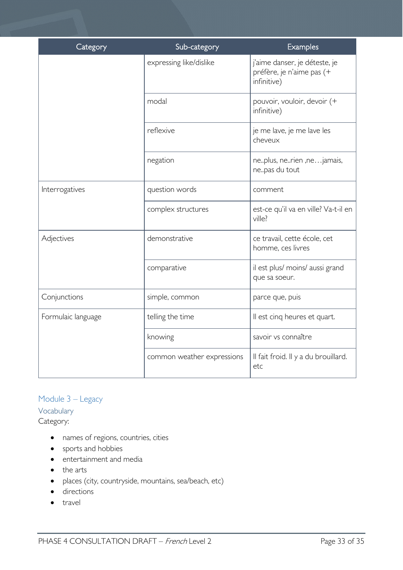| Category           | Sub-category               | <b>Examples</b>                                                           |
|--------------------|----------------------------|---------------------------------------------------------------------------|
|                    | expressing like/dislike    | j'aime danser, je déteste, je<br>préfère, je n'aime pas (+<br>infinitive) |
|                    | modal                      | pouvoir, vouloir, devoir (+<br>infinitive)                                |
|                    | reflexive                  | je me lave, je me lave les<br>cheveux                                     |
|                    | negation                   | neplus, nerien, nejamais,<br>nepas du tout                                |
| Interrogatives     | question words             | comment                                                                   |
|                    | complex structures         | est-ce qu'il va en ville? Va-t-il en<br>ville?                            |
| Adjectives         | demonstrative              | ce travail, cette école, cet<br>homme, ces livres                         |
|                    | comparative                | il est plus/ moins/ aussi grand<br>que sa soeur.                          |
| Conjunctions       | simple, common             | parce que, puis                                                           |
| Formulaic language | telling the time           | Il est cinq heures et quart.                                              |
|                    | knowing                    | savoir vs connaître                                                       |
|                    | common weather expressions | Il fait froid. Il y a du brouillard.<br>etc                               |

### <span id="page-32-0"></span>Module 3 – Legacy

<span id="page-32-1"></span>Vocabulary Category:

- names of regions, countries, cities
- sports and hobbies
- entertainment and media
- the arts
- places (city, countryside, mountains, sea/beach, etc)
- directions
- travel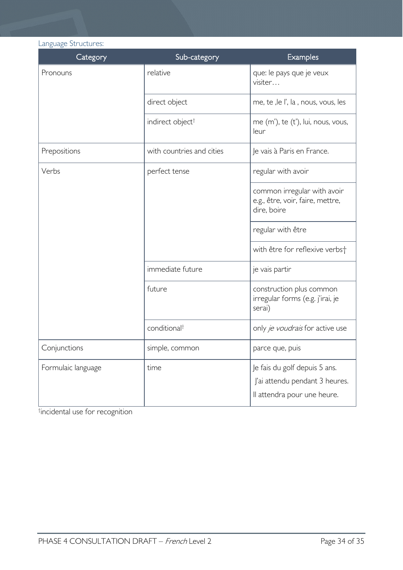<span id="page-33-0"></span>

| Language Structures: |                              |                                                                                                |  |  |
|----------------------|------------------------------|------------------------------------------------------------------------------------------------|--|--|
| Category             | Sub-category                 | <b>Examples</b>                                                                                |  |  |
| Pronouns             | relative                     | que: le pays que je veux<br>visiter                                                            |  |  |
|                      | direct object                | me, te , le l', la , nous, vous, les                                                           |  |  |
|                      | indirect object <sup>†</sup> | me (m'), te (t'), lui, nous, vous,<br>leur                                                     |  |  |
| Prepositions         | with countries and cities    | Je vais à Paris en France.                                                                     |  |  |
| Verbs                | perfect tense                | regular with avoir                                                                             |  |  |
|                      |                              | common irregular with avoir<br>e.g., être, voir, faire, mettre,<br>dire, boire                 |  |  |
|                      |                              | regular with être                                                                              |  |  |
|                      |                              | with être for reflexive verbst                                                                 |  |  |
|                      | immediate future             | je vais partir                                                                                 |  |  |
|                      | future                       | construction plus common<br>irregular forms (e.g. j'irai, je<br>serai)                         |  |  |
|                      | conditional <sup>+</sup>     | only je voudrais for active use                                                                |  |  |
| Conjunctions         | simple, common               | parce que, puis                                                                                |  |  |
| Formulaic language   | time                         | Je fais du golf depuis 5 ans.<br>J'ai attendu pendant 3 heures.<br>Il attendra pour une heure. |  |  |

† incidental use for recognition